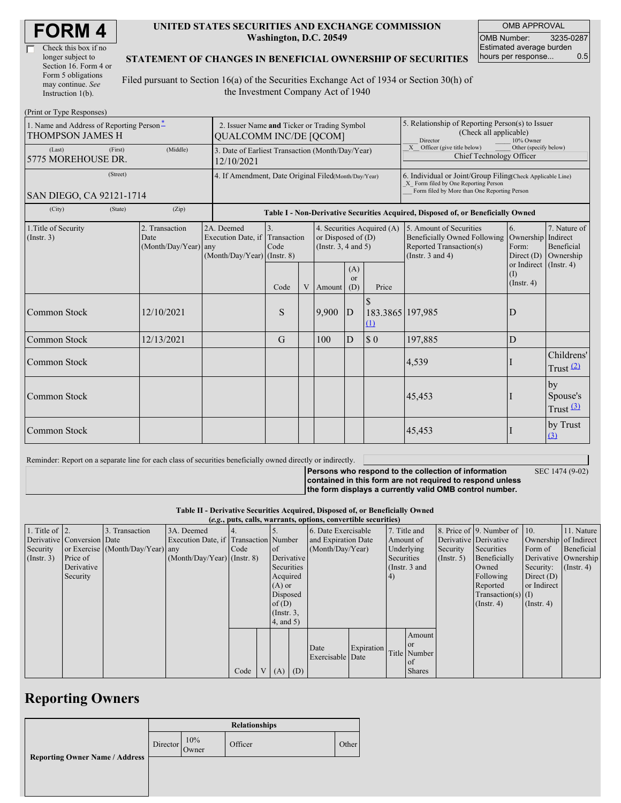| Check this box if no  |
|-----------------------|
| longer subject to     |
| Section 16. Form 4 or |
| Form 5 obligations    |
| may continue. See     |
| Instruction 1(b).     |

#### **UNITED STATES SECURITIES AND EXCHANGE COMMISSION Washington, D.C. 20549**

OMB APPROVAL OMB Number: 3235-0287 Estimated average burden hours per response... 0.5

#### **STATEMENT OF CHANGES IN BENEFICIAL OWNERSHIP OF SECURITIES**

Filed pursuant to Section 16(a) of the Securities Exchange Act of 1934 or Section 30(h) of the Investment Company Act of 1940

| (Print or Type Responses)                                                             |                                                                              |                                                                                           |      |                |                                                  |                             |                                                                                                                                                                                          |                                                                                                                    |                                                   |                                                |  |  |
|---------------------------------------------------------------------------------------|------------------------------------------------------------------------------|-------------------------------------------------------------------------------------------|------|----------------|--------------------------------------------------|-----------------------------|------------------------------------------------------------------------------------------------------------------------------------------------------------------------------------------|--------------------------------------------------------------------------------------------------------------------|---------------------------------------------------|------------------------------------------------|--|--|
| 1. Name and Address of Reporting Person-<br><b>THOMPSON JAMES H</b>                   | 2. Issuer Name and Ticker or Trading Symbol<br><b>QUALCOMM INC/DE [QCOM]</b> |                                                                                           |      |                |                                                  |                             | 5. Relationship of Reporting Person(s) to Issuer<br>(Check all applicable)<br>Director<br>10% Owner<br>X Officer (give title below)<br>Other (specify below)<br>Chief Technology Officer |                                                                                                                    |                                                   |                                                |  |  |
| (First)<br>(Last)<br>5775 MOREHOUSE DR.                                               | 3. Date of Earliest Transaction (Month/Day/Year)<br>12/10/2021               |                                                                                           |      |                |                                                  |                             |                                                                                                                                                                                          |                                                                                                                    |                                                   |                                                |  |  |
| (Street)<br>SAN DIEGO, CA 92121-1714                                                  | 4. If Amendment, Date Original Filed(Month/Day/Year)                         |                                                                                           |      |                |                                                  |                             | 6. Individual or Joint/Group Filing(Check Applicable Line)<br>X Form filed by One Reporting Person<br>Form filed by More than One Reporting Person                                       |                                                                                                                    |                                                   |                                                |  |  |
| (City)<br>(State)                                                                     |                                                                              | Table I - Non-Derivative Securities Acquired, Disposed of, or Beneficially Owned          |      |                |                                                  |                             |                                                                                                                                                                                          |                                                                                                                    |                                                   |                                                |  |  |
| 2. Transaction<br>1. Title of Security<br>(Insert. 3)<br>Date<br>(Month/Day/Year) any |                                                                              | 2A. Deemed<br>3.<br>Execution Date, if Transaction<br>Code<br>(Month/Day/Year) (Instr. 8) |      |                | or Disposed of $(D)$<br>(Instr. $3, 4$ and $5$ ) |                             | 4. Securities Acquired (A)                                                                                                                                                               | 5. Amount of Securities<br><b>Beneficially Owned Following</b><br>Reported Transaction(s)<br>(Instr. $3$ and $4$ ) | 6.<br>Ownership Indirect<br>Form:<br>Direct $(D)$ | 7. Nature of<br><b>Beneficial</b><br>Ownership |  |  |
|                                                                                       |                                                                              |                                                                                           | Code | $\overline{V}$ | Amount                                           | (A)<br><sub>or</sub><br>(D) | Price                                                                                                                                                                                    |                                                                                                                    | or Indirect (Instr. 4)<br>(I)<br>$($ Instr. 4 $)$ |                                                |  |  |
| Common Stock                                                                          | 12/10/2021                                                                   |                                                                                           | S    |                | 9,900                                            | D                           | \$<br>183.3865 197,985<br>(1)                                                                                                                                                            |                                                                                                                    | D                                                 |                                                |  |  |
| Common Stock                                                                          | 12/13/2021                                                                   |                                                                                           | G    |                | 100                                              | D                           | $\boldsymbol{\mathsf{S}}$ 0                                                                                                                                                              | 197,885                                                                                                            | D                                                 |                                                |  |  |
| Common Stock                                                                          |                                                                              |                                                                                           |      |                |                                                  |                             |                                                                                                                                                                                          | 4,539                                                                                                              |                                                   | Childrens'<br>Trust $(2)$                      |  |  |
| Common Stock                                                                          |                                                                              |                                                                                           |      |                |                                                  |                             |                                                                                                                                                                                          | 45,453                                                                                                             |                                                   | by<br>Spouse's<br>Trust $\frac{(3)}{2}$        |  |  |
| Common Stock                                                                          |                                                                              |                                                                                           |      |                |                                                  |                             |                                                                                                                                                                                          | 45,453                                                                                                             |                                                   | by Trust<br>$\Omega$                           |  |  |

Reminder: Report on a separate line for each class of securities beneficially owned directly or indirectly.

SEC 1474 (9-02)

**Persons who respond to the collection of information contained in this form are not required to respond unless the form displays a currently valid OMB control number.**

**Table II - Derivative Securities Acquired, Disposed of, or Beneficially Owned**

|                        | (e.g., puts, calls, warrants, options, convertible securities) |                                  |                                       |      |                 |                        |            |                          |               |              |                       |                       |                              |               |            |
|------------------------|----------------------------------------------------------------|----------------------------------|---------------------------------------|------|-----------------|------------------------|------------|--------------------------|---------------|--------------|-----------------------|-----------------------|------------------------------|---------------|------------|
| 1. Title of $\vert$ 2. |                                                                | 3. Transaction                   | 3A. Deemed                            |      |                 |                        |            | 6. Date Exercisable      |               | 7. Title and |                       |                       | 8. Price of 9. Number of 10. |               | 11. Nature |
|                        | Derivative Conversion Date                                     |                                  | Execution Date, if Transaction Number |      |                 | and Expiration Date    |            | Amount of                |               |              | Derivative Derivative | Ownership of Indirect |                              |               |            |
| Security               |                                                                | or Exercise (Month/Day/Year) any |                                       | Code |                 | (Month/Day/Year)<br>of |            | Underlying               |               | Security     | Securities            | Form of               | Beneficial                   |               |            |
| $($ Instr. 3 $)$       | Price of                                                       |                                  | $(Month/Day/Year)$ (Instr. 8)         |      |                 |                        | Derivative |                          | Securities    |              | $($ Instr. 5)         | Beneficially          | Derivative Ownership         |               |            |
|                        | Derivative                                                     |                                  |                                       |      |                 |                        | Securities |                          | (Instr. 3 and |              |                       | Owned                 | Security:                    | $($ Instr. 4) |            |
|                        | Security                                                       |                                  |                                       |      |                 | Acquired               |            | (4)                      |               |              | Following             | Direct $(D)$          |                              |               |            |
|                        |                                                                |                                  |                                       |      |                 | $(A)$ or               |            |                          |               |              |                       |                       | Reported                     | or Indirect   |            |
|                        |                                                                |                                  |                                       |      | Disposed        |                        |            |                          |               |              |                       | Transaction(s) $(I)$  |                              |               |            |
|                        |                                                                |                                  |                                       |      | of(D)           |                        |            |                          |               |              |                       | $($ Instr. 4)         | $($ Instr. 4 $)$             |               |            |
|                        |                                                                |                                  |                                       |      | $($ Instr. $3,$ |                        |            |                          |               |              |                       |                       |                              |               |            |
|                        |                                                                |                                  |                                       |      | 4, and 5)       |                        |            |                          |               |              |                       |                       |                              |               |            |
|                        |                                                                |                                  |                                       |      |                 |                        |            |                          |               |              | Amount                |                       |                              |               |            |
|                        |                                                                |                                  |                                       |      |                 |                        |            |                          |               |              | <sub>or</sub>         |                       |                              |               |            |
|                        |                                                                |                                  |                                       |      |                 |                        |            | Date<br>Exercisable Date | Expiration    |              | Title Number          |                       |                              |               |            |
|                        |                                                                |                                  |                                       |      |                 |                        |            |                          |               |              | of                    |                       |                              |               |            |
|                        |                                                                |                                  |                                       | Code |                 | $V(A)$ (D)             |            |                          |               |              | <b>Shares</b>         |                       |                              |               |            |

## **Reporting Owners**

| <b>Relationships</b> |              |         |       |  |  |  |  |  |
|----------------------|--------------|---------|-------|--|--|--|--|--|
| Director             | 10%<br>Owner | Officer | Other |  |  |  |  |  |
|                      |              |         |       |  |  |  |  |  |
|                      |              |         |       |  |  |  |  |  |